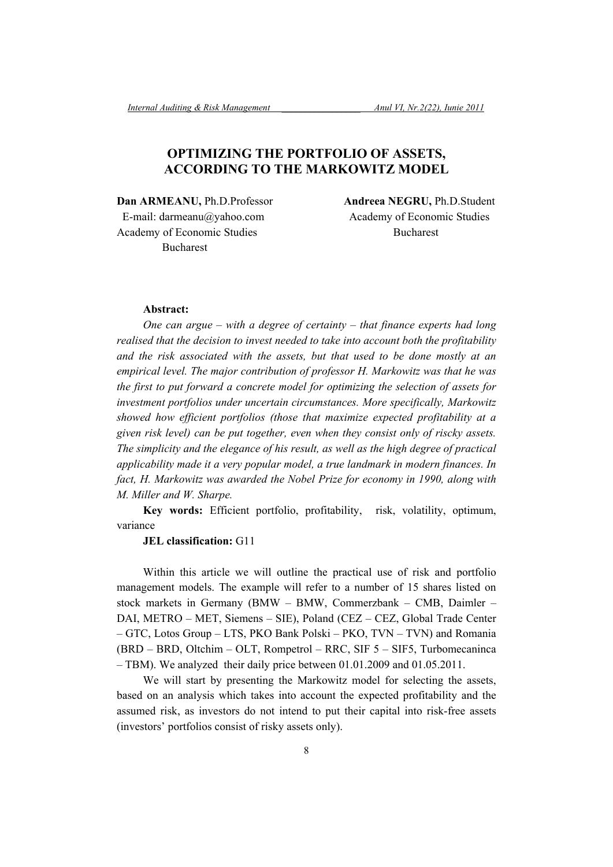## **OPTIMIZING THE PORTFOLIO OF ASSETS, ACCORDING TO THE MARKOWITZ MODEL**

**Dan ARMEANU,** Ph.D.Professor **Andreea NEGRU,** Ph.D.Student E-mail: darmeanu@yahoo.com Academy of Economic Studies Academy of Economic Studies Bucharest Bucharest

## **Abstract:**

*One can argue – with a degree of certainty – that finance experts had long realised that the decision to invest needed to take into account both the profitability and the risk associated with the assets, but that used to be done mostly at an empirical level. The major contribution of professor H. Markowitz was that he was the first to put forward a concrete model for optimizing the selection of assets for investment portfolios under uncertain circumstances. More specifically, Markowitz showed how efficient portfolios (those that maximize expected profitability at a given risk level) can be put together, even when they consist only of riscky assets. The simplicity and the elegance of his result, as well as the high degree of practical applicability made it a very popular model, a true landmark in modern finances. In fact, H. Markowitz was awarded the Nobel Prize for economy in 1990, along with M. Miller and W. Sharpe.* 

**Key words:** Efficient portfolio, profitability, risk, volatility, optimum, variance

#### **JEL classification:** G11

Within this article we will outline the practical use of risk and portfolio management models. The example will refer to a number of 15 shares listed on stock markets in Germany (BMW – BMW, Commerzbank – CMB, Daimler – DAI, METRO – MET, Siemens – SIE), Poland (CEZ – CEZ, Global Trade Center – GTC, Lotos Group – LTS, PKO Bank Polski – PKO, TVN – TVN) and Romania (BRD – BRD, Oltchim – OLT, Rompetrol – RRC, SIF 5 – SIF5, Turbomecaninca – TBM). We analyzed their daily price between 01.01.2009 and 01.05.2011.

We will start by presenting the Markowitz model for selecting the assets, based on an analysis which takes into account the expected profitability and the assumed risk, as investors do not intend to put their capital into risk-free assets (investors' portfolios consist of risky assets only).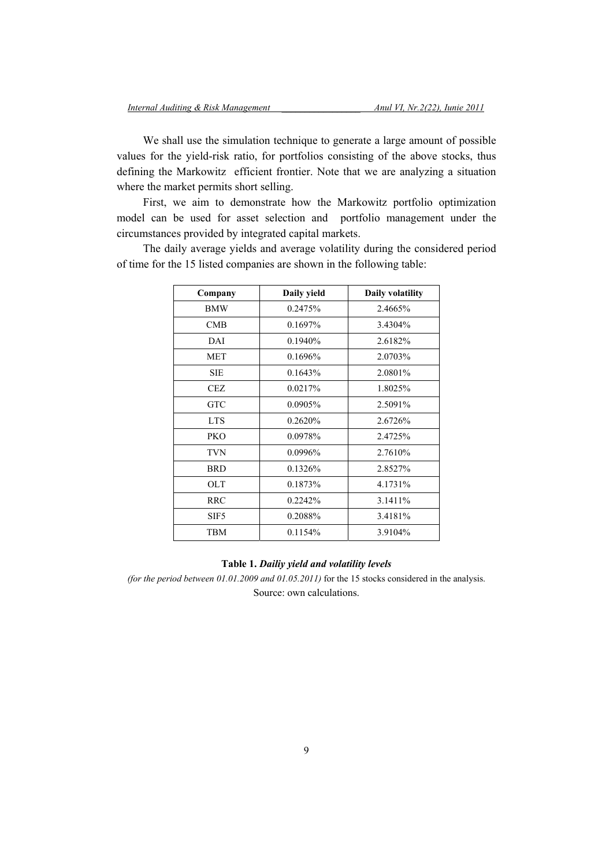We shall use the simulation technique to generate a large amount of possible values for the yield-risk ratio, for portfolios consisting of the above stocks, thus defining the Markowitz efficient frontier. Note that we are analyzing a situation where the market permits short selling.

First, we aim to demonstrate how the Markowitz portfolio optimization model can be used for asset selection and portfolio management under the circumstances provided by integrated capital markets.

The daily average yields and average volatility during the considered period of time for the 15 listed companies are shown in the following table:

| Company          | Daily yield | Daily volatility |
|------------------|-------------|------------------|
| <b>BMW</b>       | 0.2475%     | 2.4665%          |
| <b>CMB</b>       | 0.1697%     | 3.4304%          |
| DAI              | 0.1940\%    | 2.6182%          |
| <b>MET</b>       | $0.1696\%$  | 2.0703%          |
| <b>SIE</b>       | 0.1643%     | 2.0801%          |
| CEZ              | 0.0217%     | 1.8025%          |
| <b>GTC</b>       | 0.0905%     | 2.5091%          |
| <b>LTS</b>       | 0.2620%     | 2.6726%          |
| <b>PKO</b>       | 0.0978%     | 2.4725%          |
| TVN              | 0.0996%     | 2.7610\%         |
| <b>BRD</b>       | 0.1326%     | 2.8527%          |
| OLT              | 0.1873%     | 4.1731%          |
| <b>RRC</b>       | 0.2242%     | 3.1411\%         |
| SIF <sub>5</sub> | 0.2088%     | 3.4181%          |
| <b>TBM</b>       | 0.1154%     | 3.9104%          |

#### **Table 1.** *Dailiy yield and volatility levels*

*(for the period between 01.01.2009 and 01.05.2011)* for the 15 stocks considered in the analysis. Source: own calculations.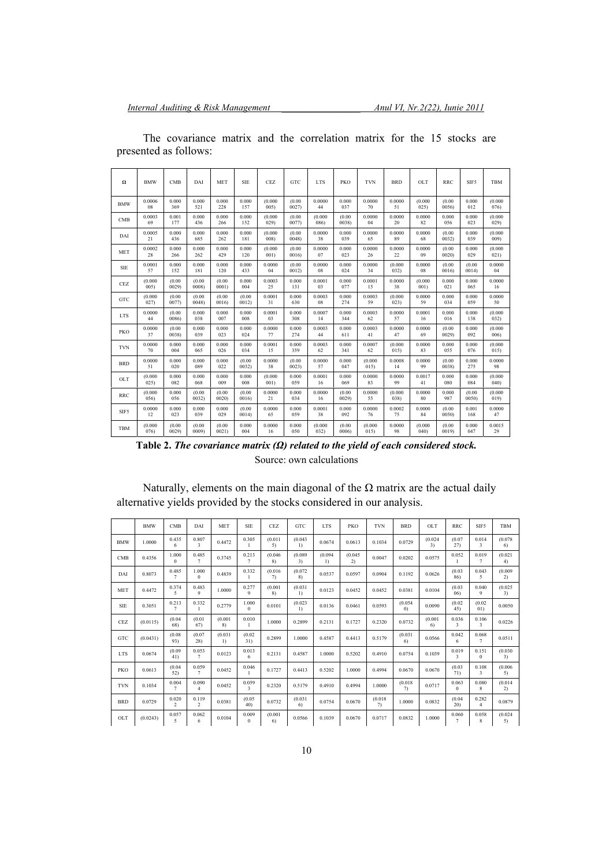| $\Omega$   | <b>BMW</b> | CMB    | DAI    | MET    | <b>SIE</b> | CEZ     | GTC    | <b>LTS</b> | PKO    | <b>TVN</b> | <b>BRD</b> | OLT     | <b>RRC</b> | SIF5   | TBM     |
|------------|------------|--------|--------|--------|------------|---------|--------|------------|--------|------------|------------|---------|------------|--------|---------|
| <b>BMW</b> | 0.0006     | 0.000  | 0.000  | 0.000  | 0.000      | (0.000) | (0.00) | 0.0000     | 0.000  | 0.0000     | 0.0000     | (0.000) | (0.00)     | 0.000  | (0.000) |
|            | 08         | 369    | 521    | 228    | 157        | 005)    | 0027   | 44         | 037    | 70         | 51         | 025)    | 0056       | 012    | 076)    |
| CMB        | 0.0003     | 0.001  | 0.000  | 0.000  | 0.000      | (0.000) | (0.00) | (0.000)    | (0.00) | 0.0000     | 0.0000     | 0.0000  | 0.000      | 0.000  | (0.000) |
|            | 69         | 177    | 436    | 266    | 152        | 029)    | 0077)  | 086)       | 0038)  | 04         | 20         | 82      | 056        | 023    | 029)    |
| DAI        | 0.0005     | 0.000  | 0.000  | 0.000  | 0.000      | (0.000) | (0.00) | 0.0000     | 0.000  | 0.0000     | 0.0000     | 0.0000  | (0.00)     | 0.000  | (0.000) |
|            | 21         | 436    | 685    | 262    | 181        | 008)    | 0048)  | 38         | 039    | 65         | 89         | 68      | 0032)      | 039    | 009)    |
| <b>MET</b> | 0.0002     | 0.000  | 0.000  | 0.000  | 0.000      | (0.000) | (0.00) | 0.0000     | 0.000  | 0.0000     | 0.0000     | 0.0000  | (0.00)     | 0.000  | (0.000) |
|            | 28         | 266    | 262    | 429    | 120        | 001)    | 0016   | 07         | 023    | 26         | 22         | 09      | 0020       | 029    | 021)    |
| <b>SIE</b> | 0.0001     | 0.000  | 0.000  | 0.000  | 0.000      | 0.0000  | (0.00) | 0.0000     | 0.000  | 0.0000     | (0.000)    | 0.0000  | (0.00)     | (0.00) | 0.0000  |
|            | 57         | 152    | 181    | 120    | 433        | 04      | 0012   | 08         | 024    | 34         | 032)       | 08      | 0016       | 0014   | 04      |
| <b>CEZ</b> | (0.000)    | (0.00) | (0.00) | (0.00) | 0.000      | 0.0003  | 0.000  | 0.0001     | 0.000  | 0.0001     | 0.0000     | (0.000) | 0.000      | 0.000  | 0.0000  |
|            | 005)       | 0029   | 0008   | 0001   | 004        | 25      | 131    | 03         | 077    | 15         | 38         | 001     | 021        | 065    | 16      |
| GTC        | (0.000)    | (0.00) | (0.00) | (0.00) | (0.00)     | 0.0001  | 0.000  | 0.0003     | 0.000  | 0.0003     | (0.000)    | 0.0000  | 0.000      | 0.000  | 0.0000  |
|            | 027)       | 0077)  | 0048   | 0016)  | 0012)      | 31      | 630    | 08         | 274    | 59         | 023)       | 59      | 034        | 059    | 50      |
| <b>LTS</b> | 0.0000     | (0.00) | 0.000  | 0.000  | 0.000      | 0.0001  | 0.000  | 0.0007     | 0.000  | 0.0003     | 0.0000     | 0.0001  | 0.000      | 0.000  | (0.000) |
|            | 44         | 0086)  | 038    | 007    | 008        | 03      | 308    | 14         | 344    | 62         | 57         | 16      | 016        | 138    | 032)    |
| PKO        | 0.0000     | (0.00) | 0.000  | 0.000  | 0.000      | 0.0000  | 0.000  | 0.0003     | 0.000  | 0.0003     | 0.0000     | 0.0000  | (0.00)     | 0.000  | (0.000) |
|            | 37         | 0038)  | 039    | 023    | 024        | 77      | 274    | 44         | 611    | 41         | 47         | 69      | 0029)      | 092    | 006)    |
| <b>TVN</b> | 0.0000     | 0.000  | 0.000  | 0.000  | 0.000      | 0.0001  | 0.000  | 0.0003     | 0.000  | 0.0007     | (0.000)    | 0.0000  | 0.000      | 0.000  | (0.000) |
|            | 70         | 004    | 065    | 026    | 034        | 15      | 359    | 62         | 341    | 62         | 015)       | 83      | 055        | 076    | 015)    |
| <b>BRD</b> | 0.0000     | 0.000  | 0.000  | 0.000  | (0.00)     | 0.0000  | (0.00) | 0.0000     | 0.000  | (0.000)    | 0.0008     | 0.0000  | (0.00)     | 0.000  | 0.0000  |
|            | 51         | 020    | 089    | 022    | 0032)      | 38      | 0023)  | 57         | 047    | 015)       | 14         | 99      | 0038)      | 275    | 98      |
| OLT        | (0.000)    | 0.000  | 0.000  | 0.000  | 0.000      | (0.000) | 0.000  | 0.0001     | 0.000  | 0.0000     | 0.0000     | 0.0017  | 0.000      | 0.000  | (0.000) |
|            | 025)       | 082    | 068    | 009    | 008        | 001)    | 059    | 16         | 069    | 83         | 99         | 41      | 080        | 084    | 040)    |
| <b>RRC</b> | (0.000)    | 0.000  | (0.00) | (0.00) | (0.00)     | 0.0000  | 0.000  | 0.0000     | (0.00) | 0.0000     | (0.000)    | 0.0000  | 0.000      | (0.00) | (0.000) |
|            | 056)       | 056    | 0032   | 0020   | 0016       | 21      | 034    | 16         | 0029   | 55         | 038)       | 80      | 987        | 0050)  | 019)    |
| SIF5       | 0.0000     | 0.000  | 0.000  | 0.000  | (0.00)     | 0.0000  | 0.000  | 0.0001     | 0.000  | 0.0000     | 0.0002     | 0.0000  | (0.00)     | 0.001  | 0.0000  |
|            | 12         | 023    | 039    | 029    | 0014       | 65      | 059    | 38         | 092    | 76         | 75         | 84      | 0050)      | 168    | 47      |
| <b>TBM</b> | (0.000)    | (0.00) | (0.00) | (0.00) | 0.000      | 0.0000  | 0.000  | (0.000)    | (0.00) | (0.000)    | 0.0000     | (0.000) | (0.00)     | 0.000  | 0.0015  |
|            | 076)       | 0029)  | 0009   | 0021   | 004        | 16      | 050    | 032)       | 0006)  | 015)       | 98         | 040)    | 0019       | 047    | 29      |

The covariance matrix and the correlation matrix for the 15 stocks are presented as follows:

| Table 2. The covariance matrix $(\Omega)$ related to the yield of each considered stock. |
|------------------------------------------------------------------------------------------|
| Source: own calculations                                                                 |

Naturally, elements on the main diagonal of the  $\Omega$  matrix are the actual daily alternative yields provided by the stocks considered in our analysis.

|            | <b>BMW</b> | <b>CMB</b>              | DAI                      | MET                       | <b>SIE</b>                       | <b>CEZ</b>    | GTC           | <b>LTS</b>                  | <b>PKO</b>    | <b>TVN</b>    | <b>BRD</b>     | OLT           | <b>RRC</b>              | SIF5                    | TBM           |
|------------|------------|-------------------------|--------------------------|---------------------------|----------------------------------|---------------|---------------|-----------------------------|---------------|---------------|----------------|---------------|-------------------------|-------------------------|---------------|
| <b>BMW</b> | 1.0000     | 0.435<br>6              | 0.807<br>3               | 0.4472                    | 0.305<br>1                       | (0.011)<br>5) | (0.043)<br>1) | 0.0674                      | 0.0613        | 0.1034        | 0.0729         | (0.024)<br>3) | (0.07)<br>27)           | 0.014<br>3              | (0.078)<br>6) |
| CMB        | 0.4356     | 1.000<br>$\mathbf{0}$   | 0.485<br>7               | 0.3745                    | 0.213<br>$\tau$                  | (0.046)<br>8) | (0.089)<br>3) | (0.094)<br>$\left  \right $ | (0.045)<br>2) | 0.0047        | 0.0202         | 0.0575        | 0.052<br>$\mathbf{1}$   | 0.019<br>7              | (0.021)<br>4) |
| DAI        | 0.8073     | 0.485<br>$\tau$         | 1.000<br>$\theta$        | 0.4839                    | 0.332<br>1                       | (0.016)<br>7) | (0.072)<br>8) | 0.0537                      | 0.0597        | 0.0904        | 0.1192         | 0.0626        | (0.03)<br>86)           | 0.043<br>5              | (0.009)<br>2) |
| <b>MET</b> | 0.4472     | 0.374<br>5              | 0.483<br>9               | 1.0000                    | 0.277<br>9                       | (0.001)<br>8) | (0.031)<br>1) | 0.0123                      | 0.0452        | 0.0452        | 0.0381         | 0.0104        | (0.03)<br>06)           | 0.040<br>9              | (0.025)<br>3) |
| <b>SIE</b> | 0.3051     | 0.213<br>$\tau$         | 0.332                    | 0.2779                    | 1.000<br>$\Omega$                | 0.0101        | (0.023)<br>1) | 0.0136                      | 0.0461        | 0.0593        | (0.054)<br>(0) | 0.0090        | (0.02)<br>45)           | (0.02)<br>01)           | 0.0050        |
| <b>CEZ</b> | (0.0115)   | (0.04)<br>68)           | (0.01)<br>67)            | (0.001)<br>8)             | 0.010                            | 1.0000        | 0.2899        | 0.2131                      | 0.1727        | 0.2320        | 0.0732         | (0.001)<br>6) | 0.036<br>3              | 0.106<br>3              | 0.0226        |
| GTC        | (0.0431)   | (0.08)<br>93)           | (0.07)<br>28)            | (0.031)<br>$\overline{1}$ | (0.02)<br>31)                    | 0.2899        | 1.0000        | 0.4587                      | 0.4413        | 0.5179        | (0.031)<br>6)  | 0.0566        | 0.042<br>6              | 0.068<br>$\tau$         | 0.0511        |
| LTS        | 0.0674     | (0.09)<br>41)           | 0.053<br>$7\phantom{.0}$ | 0.0123                    | 0.013<br>6                       | 0.2131        | 0.4587        | 1.0000                      | 0.5202        | 0.4910        | 0.0754         | 0.1039        | 0.019<br>3              | 0.151<br>$\mathbf{0}$   | (0.030)<br>3) |
| <b>PKO</b> | 0.0613     | (0.04)<br>52)           | 0.059<br>7               | 0.0452                    | 0.046                            | 0.1727        | 0.4413        | 0.5202                      | 1.0000        | 0.4994        | 0.0670         | 0.0670        | (0.03)<br>71)           | 0.108<br>3              | (0.006)<br>5) |
| <b>TVN</b> | 0.1034     | 0.004<br>$\tau$         | 0.090<br>$\overline{4}$  | 0.0452                    | 0.059<br>$\overline{\mathbf{3}}$ | 0.2320        | 0.5179        | 0.4910                      | 0.4994        | 1.0000        | (0.018)<br>7)  | 0.0717        | 0.063<br>$\Omega$       | 0.080<br>8              | (0.014)<br>2) |
| <b>BRD</b> | 0.0729     | 0.020<br>$\overline{c}$ | 0.119<br>2               | 0.0381                    | (0.05)<br>40)                    | 0.0732        | (0.031)<br>6) | 0.0754                      | 0.0670        | (0.018)<br>7) | 1.0000         | 0.0832        | (0.04)<br>20)           | 0.282<br>$\overline{4}$ | 0.0879        |
| OLT        | (0.0243)   | 0.057<br>5              | 0.062<br>6               | 0.0104                    | 0.009<br>$\Omega$                | (0.001)<br>6) | 0.0566        | 0.1039                      | 0.0670        | 0.0717        | 0.0832         | 1.0000        | 0.060<br>$\overline{7}$ | 0.058<br>8              | (0.024)<br>5) |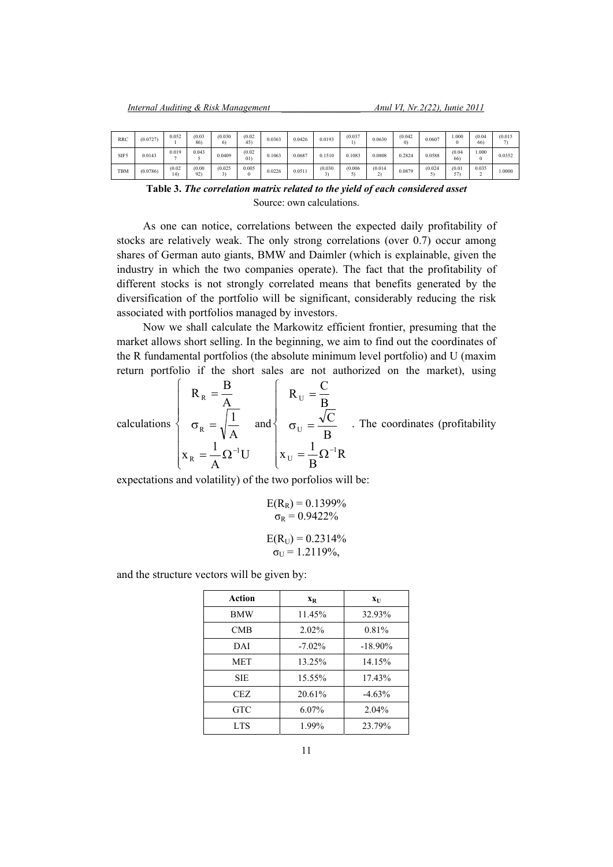| RRC  | (0.0727) | 0.052        | (0.03)<br>86) | (0.030)<br>$^{\circ}$ | (0.02)<br>45) | 0.0363 | 0.0426 | 0.0193  | (0.037) | 0.0630  | (0.042)<br>$_{0}$ | 0.0607  | .000          | (0.04)<br>66      | (0.015) |
|------|----------|--------------|---------------|-----------------------|---------------|--------|--------|---------|---------|---------|-------------------|---------|---------------|-------------------|---------|
| SIF5 | 0.0143   | 0.019        | 0.043         | 0.0409                | (0.02)<br>011 | 0.1063 | 0.0687 | 0.1510  | 0.1083  | 0.0808  | 0.2824            | 0.0588  | (0.04)<br>66) | 000.1<br>$\Omega$ | 0.0352  |
| TBM  | (0.0786) | (0.02)<br>14 | (0.00)<br>92) | (0.025)<br>┙          | 0.005         | 0.0226 | 0.0511 | (0.030) | (0.006) | (0.014) | 0.0879            | (0.024) | (0.01)<br>57) | 0.035             | .0000   |

**Table 3.** *The correlation matrix related to the yield of each considered asset*  Source: own calculations.

As one can notice, correlations between the expected daily profitability of stocks are relatively weak. The only strong correlations (over 0.7) occur among shares of German auto giants, BMW and Daimler (which is explainable, given the industry in which the two companies operate). The fact that the profitability of different stocks is not strongly correlated means that benefits generated by the diversification of the portfolio will be significant, considerably reducing the risk associated with portfolios managed by investors.

Now we shall calculate the Markowitz efficient frontier, presuming that the market allows short selling. In the beginning, we aim to find out the coordinates of the R fundamental portfolios (the absolute minimum level portfolio) and U (maxim return portfolio if the short sales are not authorized on the market), using

calculations 
$$
\begin{cases}\nR_R = \frac{B}{A} \\
\sigma_R = \sqrt{\frac{1}{A}}\n\end{cases}\n\text{ and }\n\begin{cases}\nR_U = \frac{C}{B} \\
\sigma_U = \frac{\sqrt{C}}{B} \\
R_U = \frac{1}{B}\n\end{cases}.
$$
\nThe coordinates (profitability)\n
$$
X_R = \frac{1}{A} \Omega^{-1} U
$$

expectations and volatility) of the two porfolios will be:

$$
E(R_R) = 0.1399\%
$$
  

$$
\sigma_R = 0.9422\%
$$

$$
E(R_{U}) = 0.2314\%
$$
  
\n
$$
\sigma_{U} = 1.2119\%,
$$

and the structure vectors will be given by:

| Action     | $\mathbf{X}_{\mathbf{R}}$ | $X_{\text{II}}$ |
|------------|---------------------------|-----------------|
| <b>BMW</b> | 11.45%                    | 32.93%          |
| <b>CMB</b> | 2.02%                     | 0.81%           |
| DAI        | $-7.02\%$                 | $-18.90\%$      |
| <b>MET</b> | 13.25%                    | 14.15%          |
| <b>SIE</b> | 15.55%                    | 17.43%          |
| CEZ.       | 20.61%                    | $-4.63%$        |
| GTC        | $6.07\%$                  | $2.04\%$        |
| <b>LTS</b> | 1.99%                     | 23.79%          |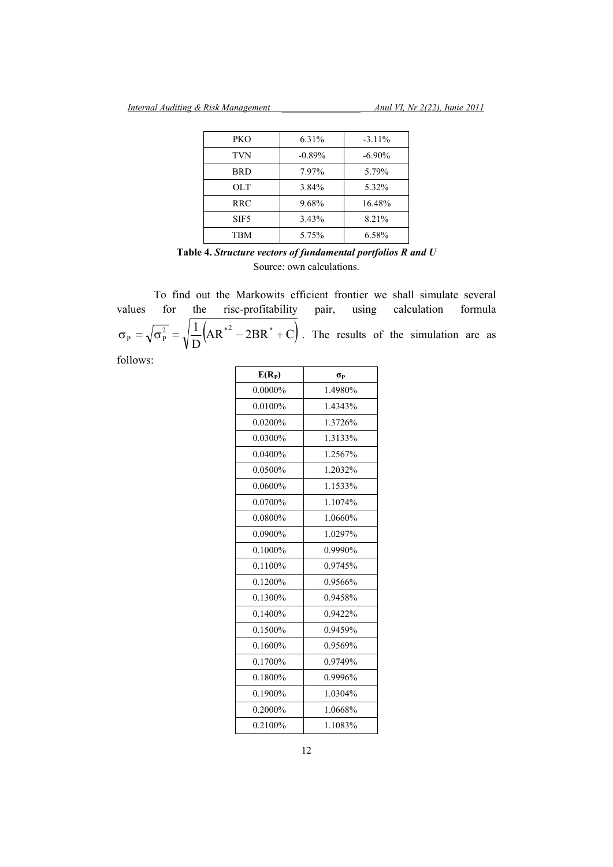| PKO              | 6.31%    | $-3.11%$  |
|------------------|----------|-----------|
| <b>TVN</b>       | $-0.89%$ | $-6.90\%$ |
| <b>BRD</b>       | 7.97%    | 5.79%     |
| OLT              | 3.84%    | 5.32%     |
| <b>RRC</b>       | 9.68%    | 16.48%    |
| SIF <sub>5</sub> | 3.43%    | 8.21%     |
| TBM              | 5.75%    | 6.58%     |

# **Table 4.** *Structure vectors of fundamental portfolios R and U* Source: own calculations.

 To find out the Markowits efficient frontier we shall simulate several values for the risc-profitability pair, using calculation formula  $|AR^{*2} - 2BR^* + C|$  $\sigma_{\rm p} = \sqrt{\sigma_{\rm p}^2} = \sqrt{\frac{1}{D}} (AR^{*2} - 2BR^* + C)$ . The results of the simulation are as follows:

| $E(R_P)$   | σр      |
|------------|---------|
| 0.0000%    | 1.4980% |
| $0.0100\%$ | 1.4343% |
| 0.0200%    | 1.3726% |
| 0.0300%    | 1.3133% |
| $0.0400\%$ | 1.2567% |
| 0.0500%    | 1.2032% |
| $0.0600\%$ | 1.1533% |
| $0.0700\%$ | 1.1074% |
| 0.0800%    | 1.0660% |
| 0.0900%    | 1.0297% |
| $0.1000\%$ | 0.9990% |
| 0.1100%    | 0.9745% |
| 0.1200%    | 0.9566% |
| 0.1300%    | 0.9458% |
| 0.1400%    | 0.9422% |
| 0.1500%    | 0.9459% |
| 0.1600%    | 0.9569% |
| 0.1700%    | 0.9749% |
| $0.1800\%$ | 0.9996% |
| 0.1900%    | 1.0304% |
| 0.2000%    | 1.0668% |
| 0.2100%    | 1.1083% |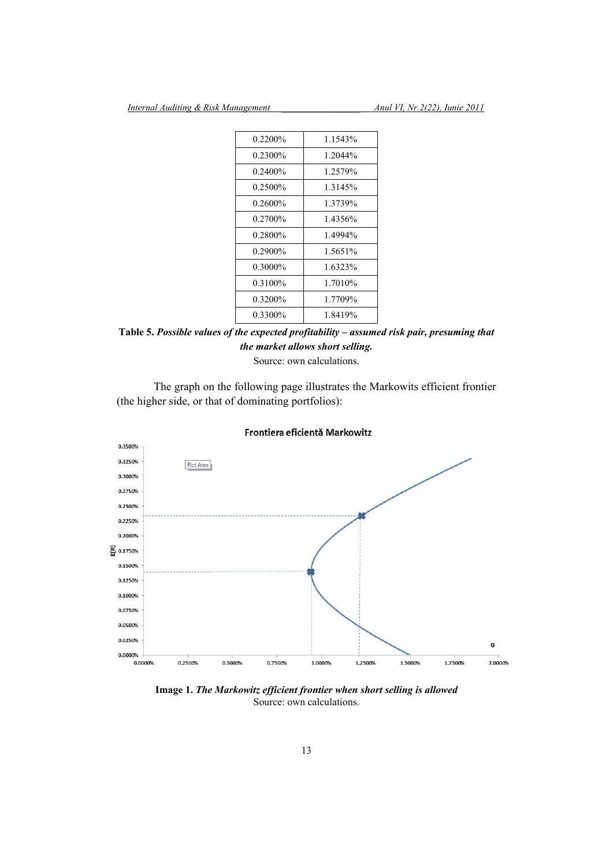| $0.2200\%$ | 1.1543%  |
|------------|----------|
| $0.2300\%$ | 1.2044%  |
| 0.2400%    | 1.2579%  |
| $0.2500\%$ | 1.3145%  |
| $0.2600\%$ | 1.3739%  |
| $0.2700\%$ | 1.4356%  |
| $0.2800\%$ | 1.4994%  |
| $0.2900\%$ | 1.5651%  |
| $0.3000\%$ | 1.6323%  |
| $0.3100\%$ | 1.7010\% |
| $0.3200\%$ | 1.7709%  |
| 0.3300%    | 1 8419%  |
|            |          |

**Table 5.** *Possible values of the expected profitability – assumed risk pair, presuming that the market allows short selling.* 

Source: own calculations.

 The graph on the following page illustrates the Markowits efficient frontier (the higher side, or that of dominating portfolios):



## Frontiera eficientă Markowitz

**Image 1.** *The Markowitz efficient frontier when short selling is allowed*  Source: own calculations.